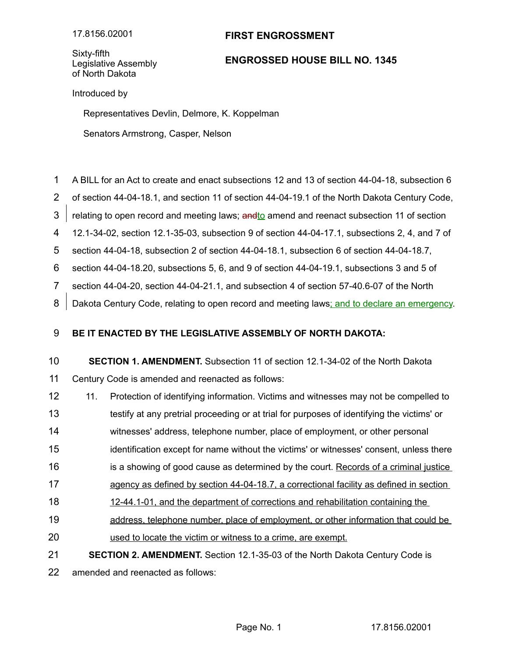## **FIRST ENGROSSMENT**

Sixty-fifth Legislative Assembly of North Dakota

## **ENGROSSED HOUSE BILL NO. 1345**

Introduced by

Representatives Devlin, Delmore, K. Koppelman

Senators Armstrong, Casper, Nelson

- A BILL for an Act to create and enact subsections 12 and 13 of section 44-04-18, subsection 6 1
- of section 44-04-18.1, and section 11 of section 44-04-19.1 of the North Dakota Century Code, 2
- relating to open record and meeting laws; and to amend and reenact subsection 11 of section 3
- 12.1-34-02, section 12.1-35-03, subsection 9 of section 44-04-17.1, subsections 2, 4, and 7 of 4
- section 44-04-18, subsection 2 of section 44-04-18.1, subsection 6 of section 44-04-18.7, 5

section 44-04-18.20, subsections 5, 6, and 9 of section 44-04-19.1, subsections 3 and 5 of 6

section 44-04-20, section 44-04-21.1, and subsection 4 of section 57-40.6-07 of the North 7

Dakota Century Code, relating to open record and meeting laws; and to declare an emergency. 8

## **BE IT ENACTED BY THE LEGISLATIVE ASSEMBLY OF NORTH DAKOTA:** 9

**SECTION 1. AMENDMENT.** Subsection 11 of section 12.1-34-02 of the North Dakota Century Code is amended and reenacted as follows: 10 11

- 11. Protection of identifying information. Victims and witnesses may not be compelled to 12
- testify at any pretrial proceeding or at trial for purposes of identifying the victims' or 13
- witnesses' address, telephone number, place of employment, or other personal 14
- identification except for name without the victims' or witnesses' consent, unless there 15
- is a showing of good cause as determined by the court. Records of a criminal justice 16
- agency as defined by section 44-04-18.7, a correctional facility as defined in section 17
- 12-44.1-01, and the department of corrections and rehabilitation containing the 18
- address, telephone number, place of employment, or other information that could be 19
- used to locate the victim or witness to a crime, are exempt. 20
- **SECTION 2. AMENDMENT.** Section 12.1-35-03 of the North Dakota Century Code is 21

amended and reenacted as follows: 22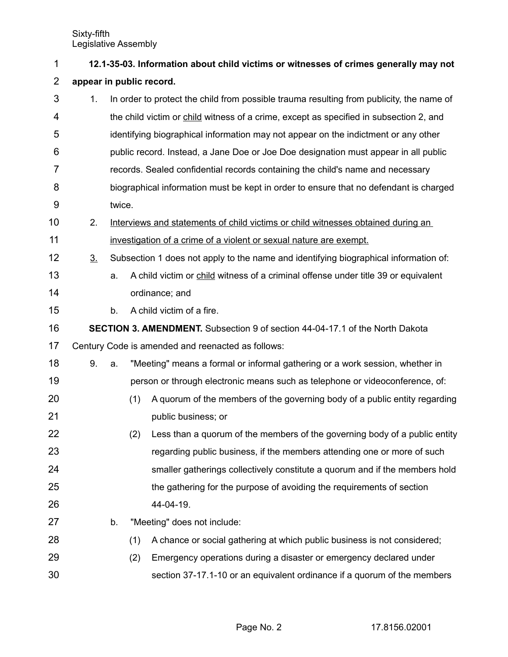| 1              | 12.1-35-03. Information about child victims or witnesses of crimes generally may not |                                                                                      |                                                                                       |                                                                                          |  |  |  |
|----------------|--------------------------------------------------------------------------------------|--------------------------------------------------------------------------------------|---------------------------------------------------------------------------------------|------------------------------------------------------------------------------------------|--|--|--|
| $\overline{2}$ | appear in public record.                                                             |                                                                                      |                                                                                       |                                                                                          |  |  |  |
| 3              | 1.                                                                                   |                                                                                      |                                                                                       | In order to protect the child from possible trauma resulting from publicity, the name of |  |  |  |
| 4              |                                                                                      |                                                                                      |                                                                                       | the child victim or child witness of a crime, except as specified in subsection 2, and   |  |  |  |
| 5              |                                                                                      |                                                                                      |                                                                                       | identifying biographical information may not appear on the indictment or any other       |  |  |  |
| 6              |                                                                                      |                                                                                      |                                                                                       | public record. Instead, a Jane Doe or Joe Doe designation must appear in all public      |  |  |  |
| 7              |                                                                                      |                                                                                      |                                                                                       | records. Sealed confidential records containing the child's name and necessary           |  |  |  |
| 8              |                                                                                      |                                                                                      | biographical information must be kept in order to ensure that no defendant is charged |                                                                                          |  |  |  |
| 9              |                                                                                      | twice.                                                                               |                                                                                       |                                                                                          |  |  |  |
| 10             | 2.                                                                                   |                                                                                      | Interviews and statements of child victims or child witnesses obtained during an      |                                                                                          |  |  |  |
| 11             |                                                                                      |                                                                                      |                                                                                       | investigation of a crime of a violent or sexual nature are exempt.                       |  |  |  |
| 12             | 3 <sub>1</sub>                                                                       | Subsection 1 does not apply to the name and identifying biographical information of: |                                                                                       |                                                                                          |  |  |  |
| 13             |                                                                                      | a.                                                                                   |                                                                                       | A child victim or child witness of a criminal offense under title 39 or equivalent       |  |  |  |
| 14             |                                                                                      |                                                                                      |                                                                                       | ordinance; and                                                                           |  |  |  |
| 15             |                                                                                      | b.                                                                                   |                                                                                       | A child victim of a fire.                                                                |  |  |  |
| 16             | <b>SECTION 3. AMENDMENT.</b> Subsection 9 of section 44-04-17.1 of the North Dakota  |                                                                                      |                                                                                       |                                                                                          |  |  |  |
| 17             |                                                                                      |                                                                                      |                                                                                       | Century Code is amended and reenacted as follows:                                        |  |  |  |
| 18             | 9.                                                                                   | a.                                                                                   |                                                                                       | "Meeting" means a formal or informal gathering or a work session, whether in             |  |  |  |
| 19             |                                                                                      |                                                                                      |                                                                                       | person or through electronic means such as telephone or videoconference, of:             |  |  |  |
| 20             |                                                                                      |                                                                                      | (1)                                                                                   | A quorum of the members of the governing body of a public entity regarding               |  |  |  |
| 21             |                                                                                      |                                                                                      |                                                                                       | public business; or                                                                      |  |  |  |
| 22             |                                                                                      |                                                                                      | (2)                                                                                   | Less than a quorum of the members of the governing body of a public entity               |  |  |  |
| 23             |                                                                                      |                                                                                      |                                                                                       | regarding public business, if the members attending one or more of such                  |  |  |  |
| 24             |                                                                                      |                                                                                      |                                                                                       | smaller gatherings collectively constitute a quorum and if the members hold              |  |  |  |
| 25             |                                                                                      |                                                                                      |                                                                                       | the gathering for the purpose of avoiding the requirements of section                    |  |  |  |
| 26             |                                                                                      |                                                                                      |                                                                                       | 44-04-19.                                                                                |  |  |  |
| 27             |                                                                                      | b.                                                                                   |                                                                                       | "Meeting" does not include:                                                              |  |  |  |
| 28             |                                                                                      |                                                                                      | (1)                                                                                   | A chance or social gathering at which public business is not considered;                 |  |  |  |
| 29             |                                                                                      |                                                                                      | (2)                                                                                   | Emergency operations during a disaster or emergency declared under                       |  |  |  |
| 30             |                                                                                      |                                                                                      |                                                                                       | section 37-17.1-10 or an equivalent ordinance if a quorum of the members                 |  |  |  |

Page No. 2 17.8156.02001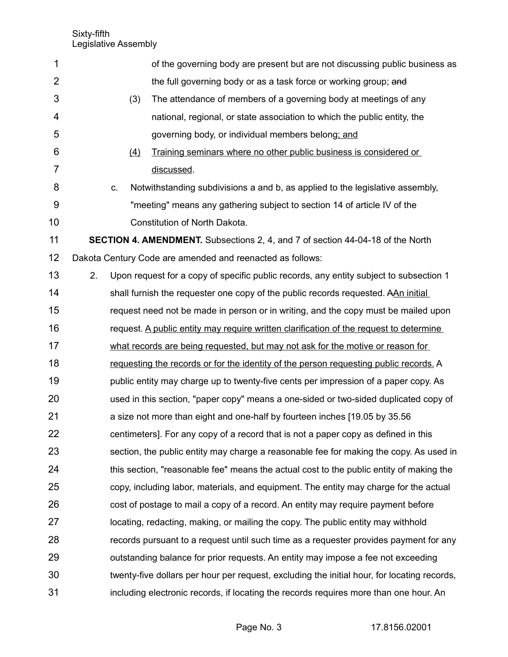| 1              |    |    |     | of the governing body are present but are not discussing public business as                 |
|----------------|----|----|-----|---------------------------------------------------------------------------------------------|
| $\overline{2}$ |    |    |     | the full governing body or as a task force or working group; and                            |
| 3              |    |    | (3) | The attendance of members of a governing body at meetings of any                            |
| 4              |    |    |     | national, regional, or state association to which the public entity, the                    |
| 5              |    |    |     | governing body, or individual members belong; and                                           |
| 6              |    |    | (4) | Training seminars where no other public business is considered or                           |
| 7              |    |    |     | discussed.                                                                                  |
| 8              |    | C. |     | Notwithstanding subdivisions a and b, as applied to the legislative assembly,               |
| 9              |    |    |     | "meeting" means any gathering subject to section 14 of article IV of the                    |
| 10             |    |    |     | Constitution of North Dakota.                                                               |
| 11             |    |    |     | <b>SECTION 4. AMENDMENT.</b> Subsections 2, 4, and 7 of section 44-04-18 of the North       |
| 12             |    |    |     | Dakota Century Code are amended and reenacted as follows:                                   |
| 13             | 2. |    |     | Upon request for a copy of specific public records, any entity subject to subsection 1      |
| 14             |    |    |     | shall furnish the requester one copy of the public records requested. AAn initial           |
| 15             |    |    |     | request need not be made in person or in writing, and the copy must be mailed upon          |
| 16             |    |    |     | request. A public entity may require written clarification of the request to determine      |
| 17             |    |    |     | what records are being requested, but may not ask for the motive or reason for              |
| 18             |    |    |     | requesting the records or for the identity of the person requesting public records. A       |
| 19             |    |    |     | public entity may charge up to twenty-five cents per impression of a paper copy. As         |
| 20             |    |    |     | used in this section, "paper copy" means a one-sided or two-sided duplicated copy of        |
| 21             |    |    |     | a size not more than eight and one-half by fourteen inches [19.05 by 35.56]                 |
| 22             |    |    |     | centimeters]. For any copy of a record that is not a paper copy as defined in this          |
| 23             |    |    |     | section, the public entity may charge a reasonable fee for making the copy. As used in      |
| 24             |    |    |     | this section, "reasonable fee" means the actual cost to the public entity of making the     |
| 25             |    |    |     | copy, including labor, materials, and equipment. The entity may charge for the actual       |
| 26             |    |    |     | cost of postage to mail a copy of a record. An entity may require payment before            |
| 27             |    |    |     | locating, redacting, making, or mailing the copy. The public entity may withhold            |
| 28             |    |    |     | records pursuant to a request until such time as a requester provides payment for any       |
| 29             |    |    |     | outstanding balance for prior requests. An entity may impose a fee not exceeding            |
| 30             |    |    |     | twenty-five dollars per hour per request, excluding the initial hour, for locating records, |
| 31             |    |    |     | including electronic records, if locating the records requires more than one hour. An       |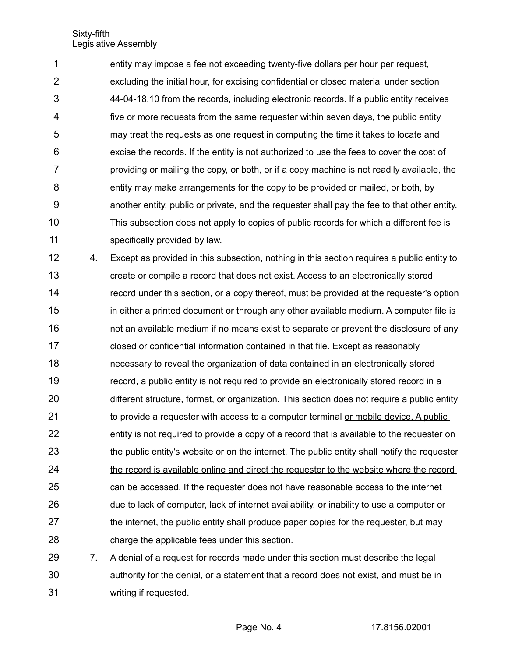entity may impose a fee not exceeding twenty-five dollars per hour per request, excluding the initial hour, for excising confidential or closed material under section 44-04-18.10 from the records, including electronic records. If a public entity receives five or more requests from the same requester within seven days, the public entity may treat the requests as one request in computing the time it takes to locate and excise the records. If the entity is not authorized to use the fees to cover the cost of providing or mailing the copy, or both, or if a copy machine is not readily available, the entity may make arrangements for the copy to be provided or mailed, or both, by another entity, public or private, and the requester shall pay the fee to that other entity. This subsection does not apply to copies of public records for which a different fee is specifically provided by law. 1 2 3 4 5 6 7 8 9 10 11

4. Except as provided in this subsection, nothing in this section requires a public entity to create or compile a record that does not exist. Access to an electronically stored record under this section, or a copy thereof, must be provided at the requester's option in either a printed document or through any other available medium. A computer file is not an available medium if no means exist to separate or prevent the disclosure of any closed or confidential information contained in that file. Except as reasonably necessary to reveal the organization of data contained in an electronically stored record, a public entity is not required to provide an electronically stored record in a different structure, format, or organization. This section does not require a public entity to provide a requester with access to a computer terminal or mobile device. A public entity is not required to provide a copy of a record that is available to the requester on the public entity's website or on the internet. The public entity shall notify the requester the record is available online and direct the requester to the website where the record can be accessed. If the requester does not have reasonable access to the internet due to lack of computer, lack of internet availability, or inability to use a computer or the internet, the public entity shall produce paper copies for the requester, but may charge the applicable fees under this section. 7. A denial of a request for records made under this section must describe the legal 12 13 14 15 16 17 18 19 20 21 22 23 24 25 26 27 28 29

authority for the denial, or a statement that a record does not exist, and must be in writing if requested. 30 31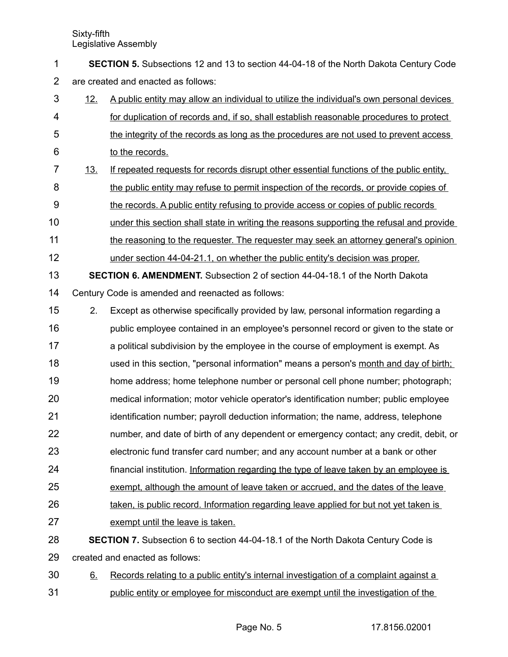**SECTION 5.** Subsections 12 and 13 to section 44-04-18 of the North Dakota Century Code are created and enacted as follows: 1 2

- 12. A public entity may allow an individual to utilize the individual's own personal devices for duplication of records and, if so, shall establish reasonable procedures to protect the integrity of the records as long as the procedures are not used to prevent access to the records. 3 4 5 6
- 13. If repeated requests for records disrupt other essential functions of the public entity, the public entity may refuse to permit inspection of the records, or provide copies of the records. A public entity refusing to provide access or copies of public records 7 8 9
- under this section shall state in writing the reasons supporting the refusal and provide 10
- the reasoning to the requester. The requester may seek an attorney general's opinion 11
- under section 44-04-21.1, on whether the public entity's decision was proper. 12
- **SECTION 6. AMENDMENT.** Subsection 2 of section 44-04-18.1 of the North Dakota Century Code is amended and reenacted as follows: 13 14
- 2. Except as otherwise specifically provided by law, personal information regarding a 15
- public employee contained in an employee's personnel record or given to the state or a political subdivision by the employee in the course of employment is exempt. As used in this section, "personal information" means a person's month and day of birth; home address; home telephone number or personal cell phone number; photograph; medical information; motor vehicle operator's identification number; public employee 16 17 18 19 20
- identification number; payroll deduction information; the name, address, telephone 21
- number, and date of birth of any dependent or emergency contact; any credit, debit, or 22
- electronic fund transfer card number; and any account number at a bank or other 23
- financial institution. Information regarding the type of leave taken by an employee is 24
- exempt, although the amount of leave taken or accrued, and the dates of the leave 25
- taken, is public record. Information regarding leave applied for but not yet taken is 26
- exempt until the leave is taken. 27
- **SECTION 7.** Subsection 6 to section 44-04-18.1 of the North Dakota Century Code is created and enacted as follows: 28 29
- 6. Records relating to a public entity's internal investigation of a complaint against a public entity or employee for misconduct are exempt until the investigation of the 30 31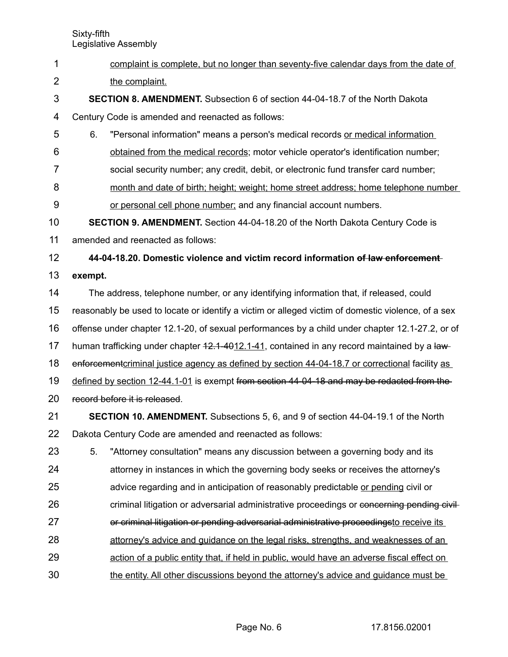- Sixty-fifth Legislative Assembly complaint is complete, but no longer than seventy-five calendar days from the date of the complaint. **SECTION 8. AMENDMENT.** Subsection 6 of section 44-04-18.7 of the North Dakota Century Code is amended and reenacted as follows: 6. "Personal information" means a person's medical records or medical information obtained from the medical records; motor vehicle operator's identification number; social security number; any credit, debit, or electronic fund transfer card number; month and date of birth; height; weight; home street address; home telephone number or personal cell phone number; and any financial account numbers. **SECTION 9. AMENDMENT.** Section 44-04-18.20 of the North Dakota Century Code is amended and reenacted as follows: **44-04-18.20. Domestic violence and victim record information of law enforcement exempt.** The address, telephone number, or any identifying information that, if released, could reasonably be used to locate or identify a victim or alleged victim of domestic violence, of a sex offense under chapter 12.1-20, of sexual performances by a child under chapter 12.1-27.2, or of human trafficking under chapter 42.1-4012.1-41, contained in any record maintained by a lawenforcement criminal justice agency as defined by section 44-04-18.7 or correctional facility as defined by section 12-44.1-01 is exempt from section 44-04-18 and may be redacted from the record before it is released. **SECTION 10. AMENDMENT.** Subsections 5, 6, and 9 of section 44-04-19.1 of the North Dakota Century Code are amended and reenacted as follows: 5. "Attorney consultation" means any discussion between a governing body and its attorney in instances in which the governing body seeks or receives the attorney's advice regarding and in anticipation of reasonably predictable or pending civil or criminal litigation or adversarial administrative proceedings or concerning pending civilor criminal litigation or pending adversarial administrative proceedingsto receive its 1 2 3 4 5 6 7 8 9 10 11 12 13 14 15 16 17 18 19 20 21 22 23 24 25 26 27
- attorney's advice and guidance on the legal risks, strengths, and weaknesses of an 28
- action of a public entity that, if held in public, would have an adverse fiscal effect on 29
- the entity. All other discussions beyond the attorney's advice and guidance must be 30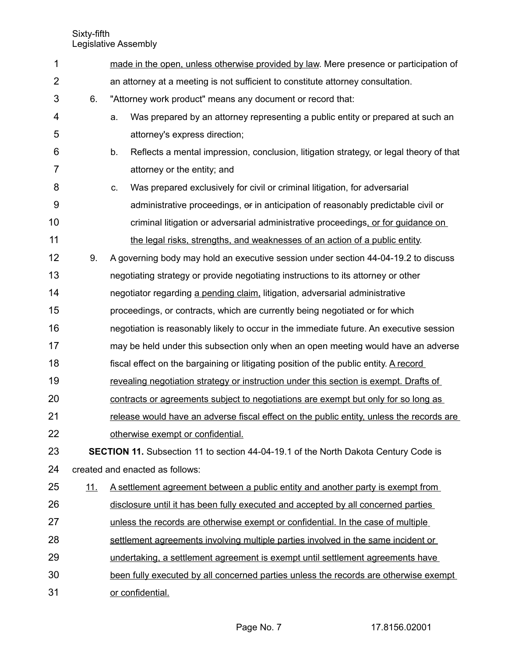| 1              |            | made in the open, unless otherwise provided by law. Mere presence or participation of        |  |  |  |  |
|----------------|------------|----------------------------------------------------------------------------------------------|--|--|--|--|
| $\overline{2}$ |            | an attorney at a meeting is not sufficient to constitute attorney consultation.              |  |  |  |  |
| 3              | 6.         | "Attorney work product" means any document or record that:                                   |  |  |  |  |
| 4              |            | Was prepared by an attorney representing a public entity or prepared at such an<br>a.        |  |  |  |  |
| 5              |            | attorney's express direction;                                                                |  |  |  |  |
| 6              |            | b.<br>Reflects a mental impression, conclusion, litigation strategy, or legal theory of that |  |  |  |  |
| 7              |            | attorney or the entity; and                                                                  |  |  |  |  |
| 8              |            | Was prepared exclusively for civil or criminal litigation, for adversarial<br>C.             |  |  |  |  |
| 9              |            | administrative proceedings, or in anticipation of reasonably predictable civil or            |  |  |  |  |
| 10             |            | criminal litigation or adversarial administrative proceedings, or for guidance on            |  |  |  |  |
| 11             |            | the legal risks, strengths, and weaknesses of an action of a public entity.                  |  |  |  |  |
| 12             | 9.         | A governing body may hold an executive session under section 44-04-19.2 to discuss           |  |  |  |  |
| 13             |            | negotiating strategy or provide negotiating instructions to its attorney or other            |  |  |  |  |
| 14             |            | negotiator regarding a pending claim, litigation, adversarial administrative                 |  |  |  |  |
| 15             |            | proceedings, or contracts, which are currently being negotiated or for which                 |  |  |  |  |
| 16             |            | negotiation is reasonably likely to occur in the immediate future. An executive session      |  |  |  |  |
| 17             |            | may be held under this subsection only when an open meeting would have an adverse            |  |  |  |  |
| 18             |            | fiscal effect on the bargaining or litigating position of the public entity. A record        |  |  |  |  |
| 19             |            | revealing negotiation strategy or instruction under this section is exempt. Drafts of        |  |  |  |  |
| 20             |            | contracts or agreements subject to negotiations are exempt but only for so long as           |  |  |  |  |
| 21             |            | release would have an adverse fiscal effect on the public entity, unless the records are     |  |  |  |  |
| 22             |            | otherwise exempt or confidential.                                                            |  |  |  |  |
| 23             |            | <b>SECTION 11.</b> Subsection 11 to section 44-04-19.1 of the North Dakota Century Code is   |  |  |  |  |
| 24             |            | created and enacted as follows:                                                              |  |  |  |  |
| 25             | <u>11.</u> | <u>A settlement agreement between a public entity and another party is exempt from</u>       |  |  |  |  |
| 26             |            | disclosure until it has been fully executed and accepted by all concerned parties            |  |  |  |  |
| 27             |            | unless the records are otherwise exempt or confidential. In the case of multiple             |  |  |  |  |
| 28             |            | settlement agreements involving multiple parties involved in the same incident or            |  |  |  |  |
| 29             |            | undertaking, a settlement agreement is exempt until settlement agreements have               |  |  |  |  |
| 30             |            | been fully executed by all concerned parties unless the records are otherwise exempt         |  |  |  |  |
| 31             |            | or confidential.                                                                             |  |  |  |  |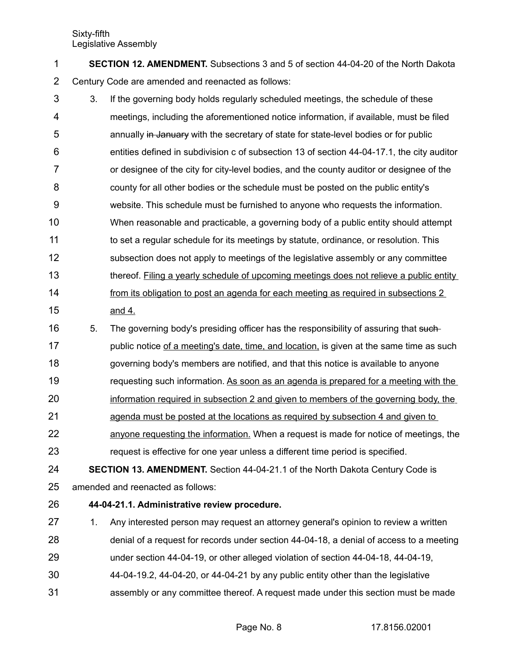| <b>SECTION 12. AMENDMENT.</b> Subsections 3 and 5 of section 44-04-20 of the North Dakota |
|-------------------------------------------------------------------------------------------|
| Century Code are amended and reenacted as follows:                                        |

- 3. If the governing body holds regularly scheduled meetings, the schedule of these meetings, including the aforementioned notice information, if available, must be filed annually in January with the secretary of state for state-level bodies or for public entities defined in subdivision c of subsection 13 of section 44-04-17.1, the city auditor or designee of the city for city-level bodies, and the county auditor or designee of the county for all other bodies or the schedule must be posted on the public entity's website. This schedule must be furnished to anyone who requests the information. When reasonable and practicable, a governing body of a public entity should attempt to set a regular schedule for its meetings by statute, ordinance, or resolution. This subsection does not apply to meetings of the legislative assembly or any committee thereof. Filing a yearly schedule of upcoming meetings does not relieve a public entity from its obligation to post an agenda for each meeting as required in subsections 2 and 4. 3 4 5 6 7 8 9 10 11 12 13 14 15
- 5. The governing body's presiding officer has the responsibility of assuring that suchpublic notice of a meeting's date, time, and location, is given at the same time as such governing body's members are notified, and that this notice is available to anyone requesting such information. As soon as an agenda is prepared for a meeting with the information required in subsection 2 and given to members of the governing body, the 16 17 18 19 20
- agenda must be posted at the locations as required by subsection 4 and given to 21
- anyone requesting the information. When a request is made for notice of meetings, the request is effective for one year unless a different time period is specified. 22 23
- **SECTION 13. AMENDMENT.** Section 44-04-21.1 of the North Dakota Century Code is amended and reenacted as follows: 24 25
- **44-04-21.1. Administrative review procedure.** 26
- 1. Any interested person may request an attorney general's opinion to review a written denial of a request for records under section 44-04-18, a denial of access to a meeting 27 28
- under section 44-04-19, or other alleged violation of section 44-04-18, 44-04-19, 29
- 44-04-19.2, 44-04-20, or 44-04-21 by any public entity other than the legislative 30
- assembly or any committee thereof. A request made under this section must be made 31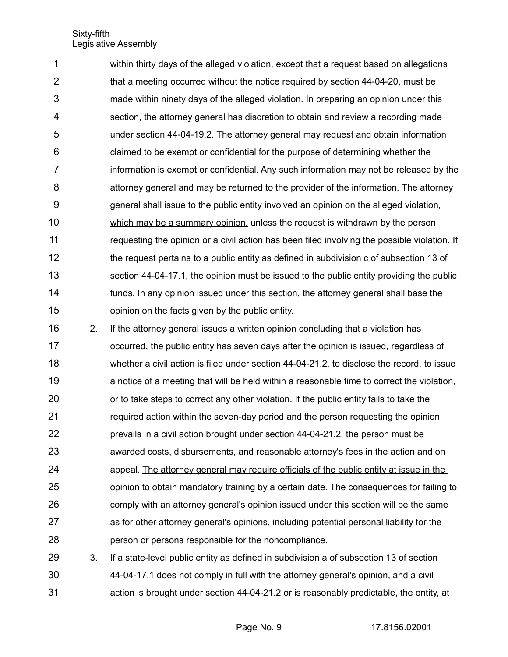within thirty days of the alleged violation, except that a request based on allegations that a meeting occurred without the notice required by section 44-04-20, must be made within ninety days of the alleged violation. In preparing an opinion under this section, the attorney general has discretion to obtain and review a recording made under section 44-04-19.2. The attorney general may request and obtain information claimed to be exempt or confidential for the purpose of determining whether the information is exempt or confidential. Any such information may not be released by the attorney general and may be returned to the provider of the information. The attorney general shall issue to the public entity involved an opinion on the alleged violation, which may be a summary opinion, unless the request is withdrawn by the person requesting the opinion or a civil action has been filed involving the possible violation. If the request pertains to a public entity as defined in subdivision c of subsection 13 of section 44-04-17.1, the opinion must be issued to the public entity providing the public funds. In any opinion issued under this section, the attorney general shall base the opinion on the facts given by the public entity. 1 2 3 4 5 6 7 8 9 10 11 12 13 14 15

2. If the attorney general issues a written opinion concluding that a violation has occurred, the public entity has seven days after the opinion is issued, regardless of whether a civil action is filed under section 44-04-21.2, to disclose the record, to issue a notice of a meeting that will be held within a reasonable time to correct the violation, or to take steps to correct any other violation. If the public entity fails to take the required action within the seven-day period and the person requesting the opinion prevails in a civil action brought under section 44-04-21.2, the person must be awarded costs, disbursements, and reasonable attorney's fees in the action and on appeal. The attorney general may require officials of the public entity at issue in the opinion to obtain mandatory training by a certain date. The consequences for failing to comply with an attorney general's opinion issued under this section will be the same as for other attorney general's opinions, including potential personal liability for the person or persons responsible for the noncompliance. 16 17 18 19 20 21 22 23 24 25 26 27 28

3. If a state-level public entity as defined in subdivision a of subsection 13 of section 44-04-17.1 does not comply in full with the attorney general's opinion, and a civil action is brought under section 44-04-21.2 or is reasonably predictable, the entity, at 29 30 31